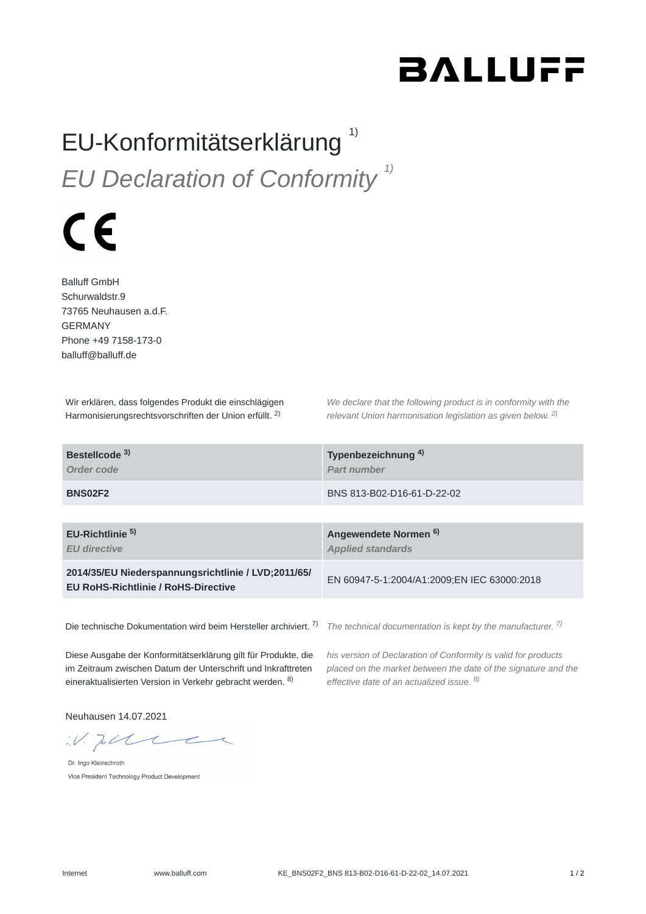## **BALLUFF**

## EU-Konformitätserklärung<sup>1)</sup> *EU Declaration of Conformity 1)*

## $\epsilon$

Balluff GmbH Schurwaldstr.9 73765 Neuhausen a.d.F. GERMANY Phone +49 7158-173-0 balluff@balluff.de

Wir erklären, dass folgendes Produkt die einschlägigen Harmonisierungsrechtsvorschriften der Union erfüllt. <sup>2)</sup>

*We declare that the following product is in conformity with the relevant Union harmonisation legislation as given below.* 2) *2)*

| Bestellcode <sup>3)</sup><br>Order code                                                           | Typenbezeichnung <sup>4)</sup><br>Part number                |
|---------------------------------------------------------------------------------------------------|--------------------------------------------------------------|
| <b>BNS02F2</b>                                                                                    | BNS 813-B02-D16-61-D-22-02                                   |
|                                                                                                   |                                                              |
| EU-Richtlinie <sup>5)</sup><br><b>EU</b> directive                                                | Angewendete Normen <sup>6)</sup><br><b>Applied standards</b> |
| 2014/35/EU Niederspannungsrichtlinie / LVD;2011/65/<br><b>EU RoHS-Richtlinie / RoHS-Directive</b> | EN 60947-5-1:2004/A1:2009;EN IEC 63000:2018                  |
|                                                                                                   |                                                              |

Die technische Dokumentation wird beim Hersteller archiviert. <sup>7)</sup> The technical documentation is kept by the manufacturer. <sup>7)</sup>

Diese Ausgabe der Konformitätserklärung gilt für Produkte, die im Zeitraum zwischen Datum der Unterschrift und Inkrafttreten eineraktualisierten Version in Verkehr gebracht werden. <sup>8)</sup>

*his version of Declaration of Conformity is valid for products placed on the market between the date of the signature and the effective date of an actualized issue. 8)*

Neuhausen 14.07.2021

 $W.$  To the

Dr. Ingo Kleinschroth Vice President Technology Product Development